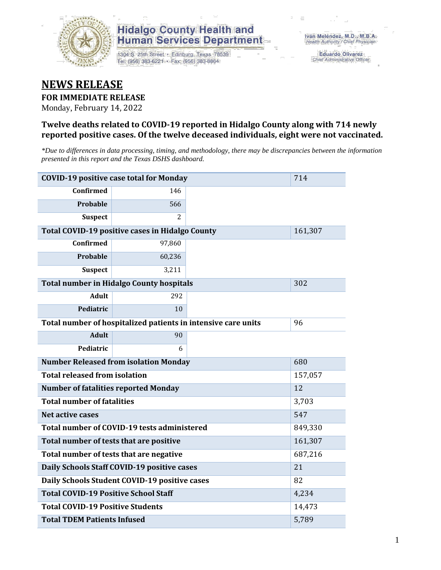

1304 S. 25th Street · Edinburg, Texas 78539 Tel: (956) 383-6221 · Fax: (956) 383-8864

**Eduardo Olivarez** Chief Administrative Officer

#### **NEWS RELEASE**

**FOR IMMEDIATE RELEASE**

Monday, February 14, 2022

#### **Twelve deaths related to COVID-19 reported in Hidalgo County along with 714 newly reported positive cases. Of the twelve deceased individuals, eight were not vaccinated.**

*\*Due to differences in data processing, timing, and methodology, there may be discrepancies between the information presented in this report and the Texas DSHS dashboard.*

|                                                               | <b>COVID-19 positive case total for Monday</b>  |     | 714     |
|---------------------------------------------------------------|-------------------------------------------------|-----|---------|
| <b>Confirmed</b>                                              | 146                                             |     |         |
| Probable                                                      | 566                                             |     |         |
| <b>Suspect</b>                                                | $\mathcal{L}$                                   |     |         |
|                                                               | Total COVID-19 positive cases in Hidalgo County |     | 161,307 |
| <b>Confirmed</b>                                              | 97,860                                          |     |         |
| <b>Probable</b>                                               | 60,236                                          |     |         |
| <b>Suspect</b>                                                | 3,211                                           |     |         |
|                                                               | <b>Total number in Hidalgo County hospitals</b> |     | 302     |
| <b>Adult</b>                                                  | 292                                             |     |         |
| Pediatric                                                     | 10                                              |     |         |
| Total number of hospitalized patients in intensive care units | 96                                              |     |         |
| <b>Adult</b>                                                  | 90                                              |     |         |
| Pediatric                                                     | 6                                               |     |         |
| <b>Number Released from isolation Monday</b>                  |                                                 | 680 |         |
| <b>Total released from isolation</b>                          |                                                 |     | 157,057 |
| <b>Number of fatalities reported Monday</b>                   |                                                 |     | 12      |
| <b>Total number of fatalities</b>                             |                                                 |     | 3,703   |
| <b>Net active cases</b>                                       |                                                 |     | 547     |
|                                                               | Total number of COVID-19 tests administered     |     | 849,330 |
| Total number of tests that are positive                       |                                                 |     | 161,307 |
|                                                               | Total number of tests that are negative         |     | 687,216 |
|                                                               | Daily Schools Staff COVID-19 positive cases     |     | 21      |
|                                                               | Daily Schools Student COVID-19 positive cases   |     | 82      |
| <b>Total COVID-19 Positive School Staff</b>                   |                                                 |     | 4,234   |
| <b>Total COVID-19 Positive Students</b>                       | 14,473                                          |     |         |
| <b>Total TDEM Patients Infused</b>                            | 5,789                                           |     |         |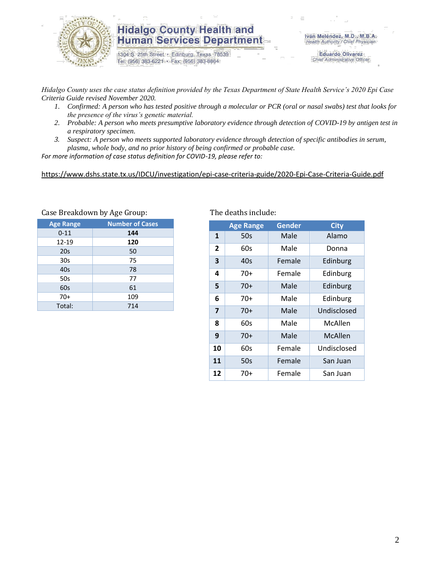

1304 S. 25th Street · Edinburg, Texas 78539 Tel: (956) 383-6221 · Fax: (956) 383-8864

**Eduardo Olivarez** Chief Administrative Officer

*Hidalgo County uses the case status definition provided by the Texas Department of State Health Service's 2020 Epi Case Criteria Guide revised November 2020.*

- *1. Confirmed: A person who has tested positive through a molecular or PCR (oral or nasal swabs) test that looks for the presence of the virus's genetic material.*
- *2. Probable: A person who meets presumptive laboratory evidence through detection of COVID-19 by antigen test in a respiratory specimen.*
- *3. Suspect: A person who meets supported laboratory evidence through detection of specific antibodies in serum, plasma, whole body, and no prior history of being confirmed or probable case.*

*For more information of case status definition for COVID-19, please refer to:*

<https://www.dshs.state.tx.us/IDCU/investigation/epi-case-criteria-guide/2020-Epi-Case-Criteria-Guide.pdf>

| <b>Age Range</b> | <b>Number of Cases</b> |
|------------------|------------------------|
| $0 - 11$         | 144                    |
| 12-19            | 120                    |
| 20s              | 50                     |
| 30 <sub>s</sub>  | 75                     |
| 40s              | 78                     |
| 50s              | 77                     |
| 60s              | 61                     |
| $70+$            | 109                    |
| Total:           | 714                    |

Case Breakdown by Age Group: The deaths include:

|                         | <b>Age Range</b> | <b>Gender</b> | <b>City</b> |
|-------------------------|------------------|---------------|-------------|
| 1                       | 50s              | Male          | Alamo       |
| $\mathbf{2}$            | 60s              | Male          | Donna       |
| 3                       | 40s              | Female        | Edinburg    |
| 4                       | 70+              | Female        | Edinburg    |
| 5                       | 70+              | Male          | Edinburg    |
| 6                       | 70+              | Male          | Edinburg    |
| $\overline{\mathbf{z}}$ | $70+$            | Male          | Undisclosed |
| 8                       | 60s              | Male          | McAllen     |
| 9                       | $70+$            | Male          | McAllen     |
| 10                      | 60s              | Female        | Undisclosed |
| 11                      | 50s              | Female        | San Juan    |
| 12                      | 70+              | Female        | San Juan    |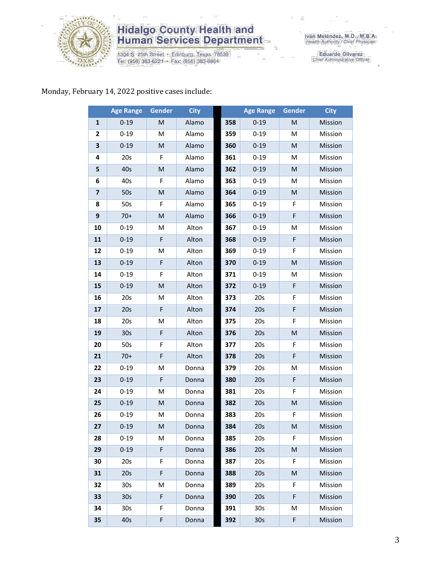

1304 S. 25th Street • Edinburg, Texas 78539<br>Tel: (956) 383-6221 • Fax: (956) 383-8864

Iván Meléndez, M.D., M.B.A.<br>Health Authority / Chief Physician

Eduardo Olivarez<br>Chief Administrative Officer

#### Monday, February 14, 2022 positive cases include:

|                         | <b>Age Range</b> | Gender      | <b>City</b> |     | <b>Age Range</b> | <b>Gender</b> | <b>City</b> |
|-------------------------|------------------|-------------|-------------|-----|------------------|---------------|-------------|
| 1                       | $0 - 19$         | M           | Alamo       | 358 | $0 - 19$         | M             | Mission     |
| $\mathbf{2}$            | $0 - 19$         | M           | Alamo       | 359 | $0 - 19$         | M             | Mission     |
| 3                       | $0 - 19$         | M           | Alamo       | 360 | $0 - 19$         | M             | Mission     |
| 4                       | 20s              | F           | Alamo       | 361 | $0 - 19$         | М             | Mission     |
| 5                       | 40s              | M           | Alamo       | 362 | $0 - 19$         | M             | Mission     |
| 6                       | 40s              | F           | Alamo       | 363 | $0 - 19$         | M             | Mission     |
| $\overline{\mathbf{z}}$ | 50s              | M           | Alamo       | 364 | $0 - 19$         | M             | Mission     |
| 8                       | 50s              | F           | Alamo       | 365 | $0 - 19$         | F             | Mission     |
| 9                       | $70+$            | M           | Alamo       | 366 | $0 - 19$         | F             | Mission     |
| 10                      | $0 - 19$         | M           | Alton       | 367 | $0 - 19$         | M             | Mission     |
| 11                      | $0 - 19$         | F           | Alton       | 368 | $0 - 19$         | F             | Mission     |
| 12                      | $0 - 19$         | M           | Alton       | 369 | $0 - 19$         | F             | Mission     |
| 13                      | $0 - 19$         | F           | Alton       | 370 | $0 - 19$         | M             | Mission     |
| 14                      | $0 - 19$         | F           | Alton       | 371 | $0 - 19$         | M             | Mission     |
| 15                      | $0 - 19$         | M           | Alton       | 372 | $0 - 19$         | F             | Mission     |
| 16                      | 20s              | M           | Alton       | 373 | 20s              | F             | Mission     |
| 17                      | 20s              | F           | Alton       | 374 | 20s              | F             | Mission     |
| 18                      | 20s              | M           | Alton       | 375 | 20s              | F             | Mission     |
| 19                      | 30 <sub>s</sub>  | F           | Alton       | 376 | 20s              | M             | Mission     |
| 20                      | 50s              | F           | Alton       | 377 | 20s              | F             | Mission     |
| 21                      | $70+$            | $\mathsf F$ | Alton       | 378 | 20s              | F             | Mission     |
| 22                      | $0 - 19$         | M           | Donna       | 379 | 20s              | M             | Mission     |
| 23                      | $0 - 19$         | $\mathsf F$ | Donna       | 380 | 20s              | F             | Mission     |
| 24                      | $0 - 19$         | M           | Donna       | 381 | 20s              | F             | Mission     |
| 25                      | $0 - 19$         | M           | Donna       | 382 | 20s              | M             | Mission     |
| 26                      | $0 - 19$         | M           | Donna       | 383 | 20s              | F             | Mission     |
| 27                      | $0 - 19$         | M           | Donna       | 384 | 20s              | M             | Mission     |
| 28                      | $0 - 19$         | М           | Donna       | 385 | 20s              | F             | Mission     |
| 29                      | $0 - 19$         | F           | Donna       | 386 | 20s              | M             | Mission     |
| 30                      | 20s              | F.          | Donna       | 387 | 20s              | F             | Mission     |
| 31                      | 20s              | F           | Donna       | 388 | 20s              | M             | Mission     |
| 32                      | 30 <sub>s</sub>  | М           | Donna       | 389 | 20s              | F             | Mission     |
| 33                      | 30 <sub>s</sub>  | F           | Donna       | 390 | 20s              | F             | Mission     |
| 34                      | 30s              | F           | Donna       | 391 | 30 <sub>s</sub>  | M             | Mission     |
| 35                      | 40s              | F           | Donna       | 392 | 30 <sub>s</sub>  | F             | Mission     |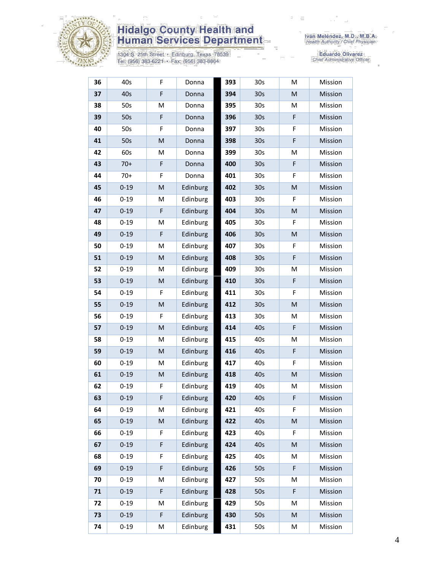

1304 S. 25th Street • Edinburg, Texas 78539<br>Tel: (956) 383-6221 • Fax: (956) 383-8864

|    | 36<br>40s      | F           | Donna    | 393 | 30s             | M | Mission |
|----|----------------|-------------|----------|-----|-----------------|---|---------|
|    | 37<br>40s      | F           | Donna    | 394 | 30 <sub>s</sub> | M | Mission |
|    | 50s<br>38      | M           | Donna    | 395 | 30s             | M | Mission |
| 39 | 50s            | F           | Donna    | 396 | 30 <sub>s</sub> | F | Mission |
| 40 | 50s            | F           | Donna    | 397 | 30 <sub>s</sub> | F | Mission |
| 41 | 50s            | M           | Donna    | 398 | 30 <sub>s</sub> | F | Mission |
| 42 | 60s            | M           | Donna    | 399 | 30 <sub>s</sub> | M | Mission |
| 43 | $70+$          | $\mathsf F$ | Donna    | 400 | 30 <sub>s</sub> | F | Mission |
| 44 | $70+$          | F           | Donna    | 401 | 30 <sub>s</sub> | F | Mission |
| 45 | $0 - 19$       | ${\sf M}$   | Edinburg | 402 | 30 <sub>s</sub> | M | Mission |
| 46 | $0 - 19$       | M           | Edinburg | 403 | 30 <sub>s</sub> | F | Mission |
| 47 | $0 - 19$       | $\mathsf F$ | Edinburg | 404 | 30 <sub>s</sub> | M | Mission |
|    | 48<br>$0 - 19$ | M           | Edinburg | 405 | 30 <sub>s</sub> | F | Mission |
| 49 | $0 - 19$       | F           | Edinburg | 406 | 30 <sub>s</sub> | M | Mission |
| 50 | $0 - 19$       | M           | Edinburg | 407 | 30 <sub>s</sub> | F | Mission |
| 51 | $0 - 19$       | ${\sf M}$   | Edinburg | 408 | 30 <sub>s</sub> | F | Mission |
| 52 | $0 - 19$       | M           | Edinburg | 409 | 30 <sub>s</sub> | M | Mission |
|    | $0 - 19$<br>53 | M           | Edinburg | 410 | 30 <sub>s</sub> | F | Mission |
| 54 | $0 - 19$       | F           | Edinburg | 411 | 30 <sub>s</sub> | F | Mission |
| 55 | $0 - 19$       | M           | Edinburg | 412 | 30 <sub>s</sub> | M | Mission |
| 56 | $0 - 19$       | F           | Edinburg | 413 | 30 <sub>s</sub> | M | Mission |
|    | 57<br>$0 - 19$ | ${\sf M}$   | Edinburg | 414 | 40s             | F | Mission |
|    | $0 - 19$<br>58 | M           | Edinburg | 415 | 40s             | M | Mission |
| 59 | $0 - 19$       | M           | Edinburg | 416 | 40s             | F | Mission |
| 60 | $0 - 19$       | M           | Edinburg | 417 | 40s             | F | Mission |
| 61 | $0 - 19$       | M           | Edinburg | 418 | 40s             | M | Mission |
|    | $0 - 19$<br>62 | F           | Edinburg | 419 | 40s             | M | Mission |
|    | 63<br>$0 - 19$ | F           | Edinburg | 420 | 40s             | F | Mission |
|    | $0 - 19$<br>64 | M           | Edinburg | 421 | 40s             | F | Mission |
| 65 | $0 - 19$       | ${\sf M}$   | Edinburg | 422 | 40s             | M | Mission |
| 66 | $0 - 19$       | F           | Edinburg | 423 | 40s             | F | Mission |
|    | 67<br>$0 - 19$ | F           | Edinburg | 424 | 40s             | M | Mission |
| 68 | $0 - 19$       | F           | Edinburg | 425 | 40s             | M | Mission |
| 69 | $0 - 19$       | F           | Edinburg | 426 | 50s             | F | Mission |
| 70 | $0 - 19$       | M           | Edinburg | 427 | 50s             | M | Mission |
| 71 | $0 - 19$       | $\mathsf F$ | Edinburg | 428 | 50s             | F | Mission |
| 72 | $0 - 19$       | M           | Edinburg | 429 | 50s             | M | Mission |
| 73 | $0 - 19$       | F           | Edinburg | 430 | 50s             | M | Mission |
| 74 | $0 - 19$       | М           | Edinburg | 431 | 50s             | М | Mission |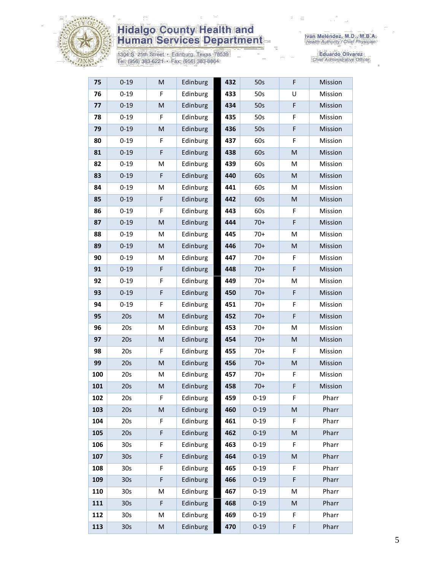

1304 S. 25th Street • Edinburg, Texas 78539<br>Tel: (956) 383-6221 • Fax: (956) 383-8864

| 75  | $0 - 19$        | M                                                                                                          | Edinburg | 432 | 50s      | F | Mission |
|-----|-----------------|------------------------------------------------------------------------------------------------------------|----------|-----|----------|---|---------|
| 76  | $0 - 19$        | F                                                                                                          | Edinburg | 433 | 50s      | U | Mission |
| 77  | $0 - 19$        | M                                                                                                          | Edinburg | 434 | 50s      | F | Mission |
| 78  | $0 - 19$        | F                                                                                                          | Edinburg | 435 | 50s      | F | Mission |
| 79  | $0 - 19$        | M                                                                                                          | Edinburg | 436 | 50s      | F | Mission |
| 80  | $0 - 19$        | F                                                                                                          | Edinburg | 437 | 60s      | F | Mission |
| 81  | $0 - 19$        | F                                                                                                          | Edinburg | 438 | 60s      | M | Mission |
| 82  | $0 - 19$        | M                                                                                                          | Edinburg | 439 | 60s      | M | Mission |
| 83  | $0 - 19$        | $\mathsf F$                                                                                                | Edinburg | 440 | 60s      | M | Mission |
| 84  | $0 - 19$        | M                                                                                                          | Edinburg | 441 | 60s      | M | Mission |
| 85  | $0 - 19$        | F                                                                                                          | Edinburg | 442 | 60s      | M | Mission |
| 86  | $0 - 19$        | $\mathsf F$                                                                                                | Edinburg | 443 | 60s      | F | Mission |
| 87  | $0 - 19$        | ${\sf M}$                                                                                                  | Edinburg | 444 | $70+$    | F | Mission |
| 88  | $0 - 19$        | M                                                                                                          | Edinburg | 445 | $70+$    | M | Mission |
| 89  | $0 - 19$        | M                                                                                                          | Edinburg | 446 | $70+$    | M | Mission |
| 90  | $0 - 19$        | M                                                                                                          | Edinburg | 447 | $70+$    | F | Mission |
| 91  | $0 - 19$        | $\mathsf F$                                                                                                | Edinburg | 448 | $70+$    | F | Mission |
| 92  | $0 - 19$        | F                                                                                                          | Edinburg | 449 | $70+$    | м | Mission |
| 93  | $0 - 19$        | F                                                                                                          | Edinburg | 450 | $70+$    | F | Mission |
| 94  | $0 - 19$        | F                                                                                                          | Edinburg | 451 | $70+$    | F | Mission |
| 95  | 20s             | ${\sf M}$                                                                                                  | Edinburg | 452 | $70+$    | F | Mission |
| 96  | 20s             | M                                                                                                          | Edinburg | 453 | $70+$    | M | Mission |
| 97  | 20s             | M                                                                                                          | Edinburg | 454 | $70+$    | M | Mission |
| 98  | 20s             | F                                                                                                          | Edinburg | 455 | $70+$    | F | Mission |
| 99  | 20s             | $\mathsf{M}% _{T}=\mathsf{M}_{T}\!\left( a,b\right) ,\ \mathsf{M}_{T}=\mathsf{M}_{T}\!\left( a,b\right) ,$ | Edinburg | 456 | $70+$    | M | Mission |
| 100 | 20s             | M                                                                                                          | Edinburg | 457 | $70+$    | F | Mission |
| 101 | 20s             | ${\sf M}$                                                                                                  | Edinburg | 458 | $70+$    | F | Mission |
| 102 | 20s             | F                                                                                                          | Edinburg | 459 | $0 - 19$ | F | Pharr   |
| 103 | 20s             | M                                                                                                          | Edinburg | 460 | $0 - 19$ | M | Pharr   |
| 104 | 20s             | F                                                                                                          | Edinburg | 461 | $0 - 19$ | F | Pharr   |
| 105 | 20s             | F                                                                                                          | Edinburg | 462 | $0 - 19$ | M | Pharr   |
| 106 | 30 <sub>s</sub> | F                                                                                                          | Edinburg | 463 | $0 - 19$ | F | Pharr   |
| 107 | 30 <sub>s</sub> | $\mathsf F$                                                                                                | Edinburg | 464 | $0 - 19$ | M | Pharr   |
| 108 | 30 <sub>s</sub> | F                                                                                                          | Edinburg | 465 | $0 - 19$ | F | Pharr   |
| 109 | 30 <sub>s</sub> | F                                                                                                          | Edinburg | 466 | $0 - 19$ | F | Pharr   |
| 110 | 30 <sub>s</sub> | M                                                                                                          | Edinburg | 467 | $0 - 19$ | M | Pharr   |
| 111 | 30 <sub>s</sub> | F                                                                                                          | Edinburg | 468 | $0 - 19$ | M | Pharr   |
| 112 | 30 <sub>s</sub> | M                                                                                                          | Edinburg | 469 | $0 - 19$ | F | Pharr   |
| 113 | 30 <sub>s</sub> | $\sf M$                                                                                                    | Edinburg | 470 | $0 - 19$ | F | Pharr   |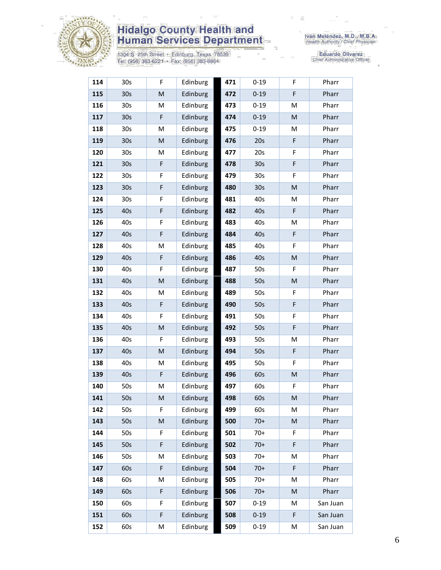

1304 S. 25th Street • Edinburg, Texas 78539<br>Tel: (956) 383-6221 • Fax: (956) 383-8864

| 114 | 30 <sub>s</sub> | F                                                                                                          | Edinburg | 471 | $0 - 19$        | F                                                                                                          | Pharr    |
|-----|-----------------|------------------------------------------------------------------------------------------------------------|----------|-----|-----------------|------------------------------------------------------------------------------------------------------------|----------|
| 115 | 30 <sub>s</sub> | M                                                                                                          | Edinburg | 472 | $0 - 19$        | F                                                                                                          | Pharr    |
| 116 | 30s             | M                                                                                                          | Edinburg | 473 | $0 - 19$        | M                                                                                                          | Pharr    |
| 117 | 30 <sub>s</sub> | F                                                                                                          | Edinburg | 474 | $0 - 19$        | M                                                                                                          | Pharr    |
| 118 | 30 <sub>s</sub> | M                                                                                                          | Edinburg | 475 | $0 - 19$        | M                                                                                                          | Pharr    |
| 119 | 30 <sub>s</sub> | M                                                                                                          | Edinburg | 476 | 20s             | F                                                                                                          | Pharr    |
| 120 | 30 <sub>s</sub> | M                                                                                                          | Edinburg | 477 | 20s             | F                                                                                                          | Pharr    |
| 121 | 30s             | F                                                                                                          | Edinburg | 478 | 30 <sub>s</sub> | F                                                                                                          | Pharr    |
| 122 | 30 <sub>s</sub> | F                                                                                                          | Edinburg | 479 | 30 <sub>s</sub> | F                                                                                                          | Pharr    |
| 123 | 30s             | F                                                                                                          | Edinburg | 480 | 30 <sub>s</sub> | M                                                                                                          | Pharr    |
| 124 | 30 <sub>s</sub> | F                                                                                                          | Edinburg | 481 | 40s             | M                                                                                                          | Pharr    |
| 125 | 40s             | F                                                                                                          | Edinburg | 482 | 40s             | F                                                                                                          | Pharr    |
| 126 | 40s             | F                                                                                                          | Edinburg | 483 | 40s             | M                                                                                                          | Pharr    |
| 127 | 40s             | F                                                                                                          | Edinburg | 484 | 40s             | F                                                                                                          | Pharr    |
| 128 | 40s             | M                                                                                                          | Edinburg | 485 | 40s             | F                                                                                                          | Pharr    |
| 129 | 40s             | F                                                                                                          | Edinburg | 486 | 40s             | M                                                                                                          | Pharr    |
| 130 | 40s             | F                                                                                                          | Edinburg | 487 | 50s             | F                                                                                                          | Pharr    |
| 131 | 40s             | M                                                                                                          | Edinburg | 488 | 50s             | $\mathsf{M}% _{T}=\mathsf{M}_{T}\!\left( a,b\right) ,\ \mathsf{M}_{T}=\mathsf{M}_{T}\!\left( a,b\right) ,$ | Pharr    |
| 132 | 40s             | M                                                                                                          | Edinburg | 489 | 50s             | F                                                                                                          | Pharr    |
| 133 | 40s             | $\mathsf F$                                                                                                | Edinburg | 490 | 50s             | F                                                                                                          | Pharr    |
| 134 | 40s             | F                                                                                                          | Edinburg | 491 | 50s             | F                                                                                                          | Pharr    |
| 135 | 40s             | M                                                                                                          | Edinburg | 492 | 50s             | F                                                                                                          | Pharr    |
| 136 | 40s             | F                                                                                                          | Edinburg | 493 | 50s             | M                                                                                                          | Pharr    |
| 137 | 40s             | M                                                                                                          | Edinburg | 494 | 50s             | F                                                                                                          | Pharr    |
| 138 | 40s             | M                                                                                                          | Edinburg | 495 | 50s             | F                                                                                                          | Pharr    |
| 139 | 40s             | F                                                                                                          | Edinburg | 496 | 60s             | M                                                                                                          | Pharr    |
| 140 | 50s             | M                                                                                                          | Edinburg | 497 | 60s             | F                                                                                                          | Pharr    |
| 141 | 50s             | M                                                                                                          | Edinburg | 498 | 60s             | M                                                                                                          | Pharr    |
| 142 | 50s             | F                                                                                                          | Edinburg | 499 | 60s             | M                                                                                                          | Pharr    |
| 143 | 50s             | $\mathsf{M}% _{T}=\mathsf{M}_{T}\!\left( a,b\right) ,\ \mathsf{M}_{T}=\mathsf{M}_{T}\!\left( a,b\right) ,$ | Edinburg | 500 | $70+$           | M                                                                                                          | Pharr    |
| 144 | 50s             | F                                                                                                          | Edinburg | 501 | $70+$           | F                                                                                                          | Pharr    |
| 145 | 50s             | F                                                                                                          | Edinburg | 502 | $70+$           | F                                                                                                          | Pharr    |
| 146 | 50s             | M                                                                                                          | Edinburg | 503 | $70+$           | M                                                                                                          | Pharr    |
| 147 | 60s             | F                                                                                                          | Edinburg | 504 | $70+$           | F                                                                                                          | Pharr    |
| 148 | 60s             | M                                                                                                          | Edinburg | 505 | $70+$           | M                                                                                                          | Pharr    |
| 149 | 60s             | F                                                                                                          | Edinburg | 506 | $70+$           | M                                                                                                          | Pharr    |
| 150 | 60s             | F                                                                                                          | Edinburg | 507 | $0 - 19$        | M                                                                                                          | San Juan |
| 151 | 60s             | F                                                                                                          | Edinburg | 508 | $0 - 19$        | F                                                                                                          | San Juan |
| 152 | 60s             | M                                                                                                          | Edinburg | 509 | $0 - 19$        | M                                                                                                          | San Juan |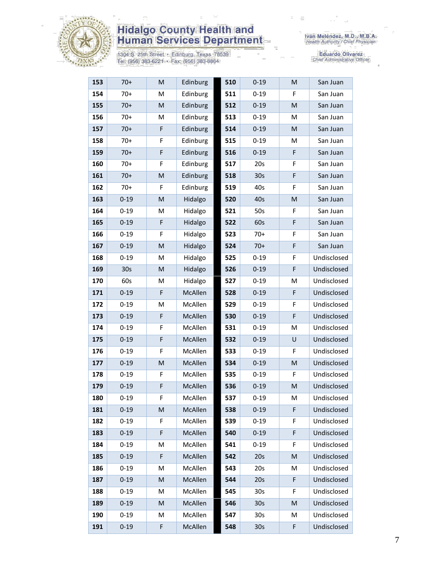

1304 S. 25th Street • Edinburg, Texas 78539<br>Tel: (956) 383-6221 • Fax: (956) 383-8864

| 153 | $70+$           | M                                                                                                          | Edinburg | 510 | $0 - 19$        | M | San Juan    |
|-----|-----------------|------------------------------------------------------------------------------------------------------------|----------|-----|-----------------|---|-------------|
| 154 | $70+$           | M                                                                                                          | Edinburg | 511 | $0 - 19$        | F | San Juan    |
| 155 | $70+$           | M                                                                                                          | Edinburg | 512 | $0 - 19$        | M | San Juan    |
| 156 | $70+$           | M                                                                                                          | Edinburg | 513 | $0 - 19$        | M | San Juan    |
| 157 | $70+$           | F                                                                                                          | Edinburg | 514 | $0 - 19$        | M | San Juan    |
| 158 | $70+$           | F                                                                                                          | Edinburg | 515 | $0 - 19$        | M | San Juan    |
| 159 | $70+$           | F                                                                                                          | Edinburg | 516 | $0 - 19$        | F | San Juan    |
| 160 | $70+$           | F                                                                                                          | Edinburg | 517 | 20s             | F | San Juan    |
| 161 | $70+$           | M                                                                                                          | Edinburg | 518 | 30 <sub>s</sub> | F | San Juan    |
| 162 | $70+$           | F                                                                                                          | Edinburg | 519 | 40s             | F | San Juan    |
| 163 | $0 - 19$        | M                                                                                                          | Hidalgo  | 520 | 40s             | M | San Juan    |
| 164 | $0 - 19$        | M                                                                                                          | Hidalgo  | 521 | 50s             | F | San Juan    |
| 165 | $0 - 19$        | F                                                                                                          | Hidalgo  | 522 | 60s             | F | San Juan    |
| 166 | $0 - 19$        | F                                                                                                          | Hidalgo  | 523 | $70+$           | F | San Juan    |
| 167 | $0 - 19$        | M                                                                                                          | Hidalgo  | 524 | $70+$           | F | San Juan    |
| 168 | $0 - 19$        | M                                                                                                          | Hidalgo  | 525 | $0 - 19$        | F | Undisclosed |
| 169 | 30 <sub>s</sub> | M                                                                                                          | Hidalgo  | 526 | $0 - 19$        | F | Undisclosed |
| 170 | 60s             | M                                                                                                          | Hidalgo  | 527 | $0 - 19$        | M | Undisclosed |
| 171 | $0 - 19$        | F                                                                                                          | McAllen  | 528 | $0 - 19$        | F | Undisclosed |
| 172 | $0 - 19$        | M                                                                                                          | McAllen  | 529 | $0 - 19$        | F | Undisclosed |
| 173 | $0 - 19$        | F                                                                                                          | McAllen  | 530 | $0 - 19$        | F | Undisclosed |
| 174 | $0 - 19$        | F                                                                                                          | McAllen  | 531 | $0 - 19$        | M | Undisclosed |
| 175 | $0 - 19$        | $\mathsf F$                                                                                                | McAllen  | 532 | $0 - 19$        | U | Undisclosed |
| 176 | $0 - 19$        | F                                                                                                          | McAllen  | 533 | $0 - 19$        | F | Undisclosed |
| 177 | $0 - 19$        | M                                                                                                          | McAllen  | 534 | $0 - 19$        | M | Undisclosed |
| 178 | $0 - 19$        | F                                                                                                          | McAllen  | 535 | $0 - 19$        | F | Undisclosed |
| 179 | $0 - 19$        | F                                                                                                          | McAllen  | 536 | $0 - 19$        | M | Undisclosed |
| 180 | $0 - 19$        | F                                                                                                          | McAllen  | 537 | $0 - 19$        | M | Undisclosed |
| 181 | $0 - 19$        | M                                                                                                          | McAllen  | 538 | $0 - 19$        | F | Undisclosed |
| 182 | $0 - 19$        | F                                                                                                          | McAllen  | 539 | $0 - 19$        | F | Undisclosed |
| 183 | $0 - 19$        | F                                                                                                          | McAllen  | 540 | $0 - 19$        | F | Undisclosed |
| 184 | $0 - 19$        | M                                                                                                          | McAllen  | 541 | $0 - 19$        | F | Undisclosed |
| 185 | $0 - 19$        | $\mathsf F$                                                                                                | McAllen  | 542 | 20s             | M | Undisclosed |
| 186 | $0 - 19$        | M                                                                                                          | McAllen  | 543 | 20s             | M | Undisclosed |
| 187 | $0 - 19$        | $\mathsf{M}% _{T}=\mathsf{M}_{T}\!\left( a,b\right) ,\ \mathsf{M}_{T}=\mathsf{M}_{T}\!\left( a,b\right) ,$ | McAllen  | 544 | 20s             | F | Undisclosed |
| 188 | $0 - 19$        | M                                                                                                          | McAllen  | 545 | 30 <sub>s</sub> | F | Undisclosed |
| 189 | $0 - 19$        | M                                                                                                          | McAllen  | 546 | 30 <sub>s</sub> | M | Undisclosed |
| 190 | $0 - 19$        | M                                                                                                          | McAllen  | 547 | 30 <sub>s</sub> | M | Undisclosed |
| 191 | $0 - 19$        | F                                                                                                          | McAllen  | 548 | 30 <sub>s</sub> | F | Undisclosed |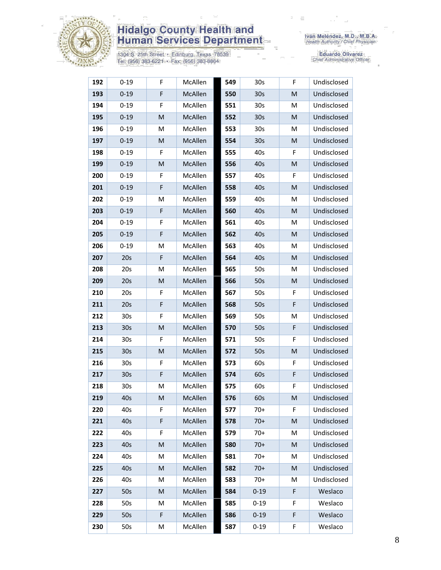

1304 S. 25th Street • Edinburg, Texas 78539<br>Tel: (956) 383-6221 • Fax: (956) 383-8864

Iván Meléndez, M.D., M.B.A.<br>Health Authority / Chief Physician

| 192 | $0 - 19$        | F | McAllen | 549 | 30s             | F | Undisclosed |
|-----|-----------------|---|---------|-----|-----------------|---|-------------|
| 193 | $0 - 19$        | F | McAllen | 550 | 30 <sub>s</sub> | M | Undisclosed |
| 194 | $0 - 19$        | F | McAllen | 551 | 30s             | M | Undisclosed |
| 195 | $0 - 19$        | M | McAllen | 552 | 30 <sub>s</sub> | M | Undisclosed |
| 196 | $0 - 19$        | М | McAllen | 553 | 30 <sub>s</sub> | M | Undisclosed |
| 197 | $0 - 19$        | M | McAllen | 554 | 30 <sub>s</sub> | M | Undisclosed |
| 198 | $0 - 19$        | F | McAllen | 555 | 40s             | F | Undisclosed |
| 199 | $0 - 19$        | M | McAllen | 556 | 40s             | M | Undisclosed |
| 200 | $0 - 19$        | F | McAllen | 557 | 40s             | F | Undisclosed |
| 201 | $0 - 19$        | F | McAllen | 558 | 40s             | M | Undisclosed |
| 202 | $0 - 19$        | M | McAllen | 559 | 40s             | M | Undisclosed |
| 203 | $0 - 19$        | F | McAllen | 560 | 40s             | M | Undisclosed |
| 204 | $0 - 19$        | F | McAllen | 561 | 40s             | M | Undisclosed |
| 205 | $0 - 19$        | F | McAllen | 562 | 40s             | M | Undisclosed |
| 206 | $0 - 19$        | M | McAllen | 563 | 40s             | M | Undisclosed |
| 207 | 20s             | F | McAllen | 564 | 40s             | M | Undisclosed |
| 208 | 20s             | M | McAllen | 565 | 50s             | м | Undisclosed |
| 209 | 20s             | M | McAllen | 566 | 50s             | M | Undisclosed |
| 210 | 20s             | F | McAllen | 567 | 50s             | F | Undisclosed |
| 211 | 20s             | F | McAllen | 568 | 50s             | F | Undisclosed |
| 212 | 30 <sub>s</sub> | F | McAllen | 569 | 50s             | M | Undisclosed |
| 213 | 30 <sub>s</sub> | M | McAllen | 570 | 50s             | F | Undisclosed |
| 214 | 30 <sub>s</sub> | F | McAllen | 571 | 50s             | F | Undisclosed |
| 215 | 30 <sub>s</sub> | M | McAllen | 572 | 50s             | M | Undisclosed |
| 216 | 30 <sub>s</sub> | F | McAllen | 573 | 60s             | F | Undisclosed |
| 217 | 30 <sub>s</sub> | F | McAllen | 574 | 60s             | F | Undisclosed |
| 218 | 30s             | Μ | McAllen | 575 | 60s             | F | Undisclosed |
| 219 | 40s             | M | McAllen | 576 | 60s             | M | Undisclosed |
| 220 | 40s             | F | McAllen | 577 | $70+$           | F | Undisclosed |
| 221 | 40s             | F | McAllen | 578 | $70+$           | M | Undisclosed |
| 222 | 40s             | F | McAllen | 579 | $70+$           | M | Undisclosed |
| 223 | 40s             | M | McAllen | 580 | $70+$           | M | Undisclosed |
| 224 | 40s             | M | McAllen | 581 | $70+$           | M | Undisclosed |
| 225 | 40s             | M | McAllen | 582 | $70+$           | M | Undisclosed |
| 226 | 40s             | M | McAllen | 583 | $70+$           | M | Undisclosed |
| 227 | 50s             | M | McAllen | 584 | $0 - 19$        | F | Weslaco     |
| 228 | 50s             | Μ | McAllen | 585 | $0 - 19$        | F | Weslaco     |
| 229 | 50s             | F | McAllen | 586 | $0 - 19$        | F | Weslaco     |
| 230 | 50s             | M | McAllen | 587 | $0 - 19$        | F | Weslaco     |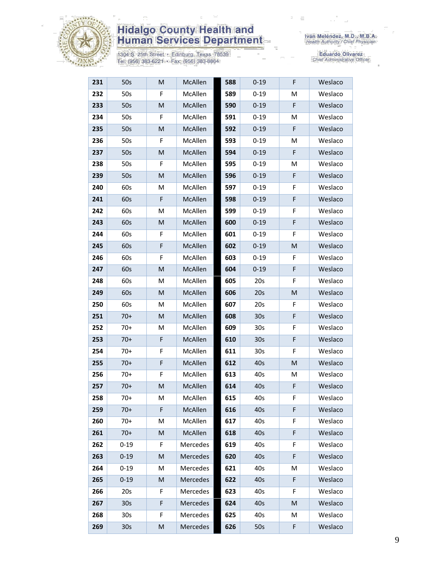

1304 S. 25th Street • Edinburg, Texas 78539<br>Tel: (956) 383-6221 • Fax: (956) 383-8864

| 231 | 50s             | M           | McAllen  | 588 | $0 - 19$        | F | Weslaco |
|-----|-----------------|-------------|----------|-----|-----------------|---|---------|
| 232 | 50s             | F           | McAllen  | 589 | $0 - 19$        | M | Weslaco |
| 233 | 50s             | M           | McAllen  | 590 | $0 - 19$        | F | Weslaco |
| 234 | 50s             | F           | McAllen  | 591 | $0 - 19$        | M | Weslaco |
| 235 | 50s             | M           | McAllen  | 592 | $0 - 19$        | F | Weslaco |
| 236 | 50s             | F           | McAllen  | 593 | $0 - 19$        | м | Weslaco |
| 237 | 50s             | M           | McAllen  | 594 | $0 - 19$        | F | Weslaco |
| 238 | 50s             | F           | McAllen  | 595 | $0 - 19$        | М | Weslaco |
| 239 | 50s             | M           | McAllen  | 596 | $0 - 19$        | F | Weslaco |
| 240 | 60s             | М           | McAllen  | 597 | $0 - 19$        | F | Weslaco |
| 241 | 60s             | F           | McAllen  | 598 | $0 - 19$        | F | Weslaco |
| 242 | 60s             | M           | McAllen  | 599 | $0 - 19$        | F | Weslaco |
| 243 | 60s             | M           | McAllen  | 600 | $0 - 19$        | F | Weslaco |
| 244 | 60s             | F           | McAllen  | 601 | $0 - 19$        | F | Weslaco |
| 245 | 60s             | F           | McAllen  | 602 | $0 - 19$        | M | Weslaco |
| 246 | 60s             | F           | McAllen  | 603 | $0 - 19$        | F | Weslaco |
| 247 | 60s             | M           | McAllen  | 604 | $0 - 19$        | F | Weslaco |
| 248 | 60s             | M           | McAllen  | 605 | 20s             | F | Weslaco |
| 249 | 60s             | M           | McAllen  | 606 | 20s             | M | Weslaco |
| 250 | 60s             | М           | McAllen  | 607 | 20s             | F | Weslaco |
| 251 | $70+$           | M           | McAllen  | 608 | 30 <sub>s</sub> | F | Weslaco |
| 252 | $70+$           | M           | McAllen  | 609 | 30 <sub>s</sub> | F | Weslaco |
| 253 | $70+$           | $\mathsf F$ | McAllen  | 610 | 30 <sub>s</sub> | F | Weslaco |
| 254 | $70+$           | F           | McAllen  | 611 | 30 <sub>s</sub> | F | Weslaco |
| 255 | $70+$           | $\mathsf F$ | McAllen  | 612 | 40s             | M | Weslaco |
| 256 | $70+$           | F           | McAllen  | 613 | 40s             | M | Weslaco |
| 257 | $70+$           | M           | McAllen  | 614 | 40s             | F | Weslaco |
| 258 | $70+$           | M           | McAllen  | 615 | 40s             | F | Weslaco |
| 259 | $70+$           | F           | McAllen  | 616 | 40s             | F | Weslaco |
| 260 | $70+$           | M           | McAllen  | 617 | 40s             | F | Weslaco |
| 261 | $70+$           | M           | McAllen  | 618 | 40s             | F | Weslaco |
| 262 | $0 - 19$        | F           | Mercedes | 619 | 40s             | F | Weslaco |
| 263 | $0 - 19$        | M           | Mercedes | 620 | 40s             | F | Weslaco |
| 264 | $0 - 19$        | М           | Mercedes | 621 | 40s             | M | Weslaco |
| 265 | $0 - 19$        | M           | Mercedes | 622 | 40s             | F | Weslaco |
| 266 | 20s             | F           | Mercedes | 623 | 40s             | F | Weslaco |
| 267 | 30 <sub>s</sub> | F           | Mercedes | 624 | 40s             | M | Weslaco |
| 268 | 30 <sub>s</sub> | F           | Mercedes | 625 | 40s             | M | Weslaco |
| 269 | 30 <sub>s</sub> | ${\sf M}$   | Mercedes | 626 | 50s             | F | Weslaco |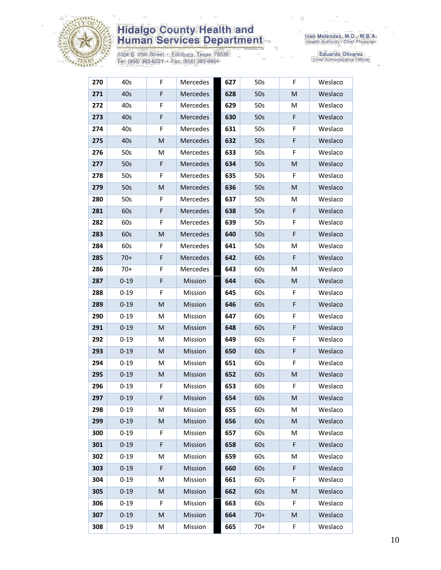

1304 S. 25th Street • Edinburg, Texas 78539<br>Tel: (956) 383-6221 • Fax: (956) 383-8864

Iván Meléndez, M.D., M.B.A.<br>Health Authority / Chief Physician

| 270 | 40s      | F         | Mercedes | 627 | 50s   | F         | Weslaco |
|-----|----------|-----------|----------|-----|-------|-----------|---------|
| 271 | 40s      | F         | Mercedes | 628 | 50s   | ${\sf M}$ | Weslaco |
| 272 | 40s      | F         | Mercedes | 629 | 50s   | M         | Weslaco |
| 273 | 40s      | F         | Mercedes | 630 | 50s   | F         | Weslaco |
| 274 | 40s      | F         | Mercedes | 631 | 50s   | F         | Weslaco |
| 275 | 40s      | M         | Mercedes | 632 | 50s   | F         | Weslaco |
| 276 | 50s      | M         | Mercedes | 633 | 50s   | F         | Weslaco |
| 277 | 50s      | F         | Mercedes | 634 | 50s   | M         | Weslaco |
| 278 | 50s      | F         | Mercedes | 635 | 50s   | F.        | Weslaco |
| 279 | 50s      | ${\sf M}$ | Mercedes | 636 | 50s   | M         | Weslaco |
| 280 | 50s      | F         | Mercedes | 637 | 50s   | M         | Weslaco |
| 281 | 60s      | F         | Mercedes | 638 | 50s   | F         | Weslaco |
| 282 | 60s      | F         | Mercedes | 639 | 50s   | F         | Weslaco |
| 283 | 60s      | ${\sf M}$ | Mercedes | 640 | 50s   | F         | Weslaco |
| 284 | 60s      | F         | Mercedes | 641 | 50s   | M         | Weslaco |
| 285 | $70+$    | F         | Mercedes | 642 | 60s   | F         | Weslaco |
| 286 | $70+$    | F         | Mercedes | 643 | 60s   | M         | Weslaco |
| 287 | $0 - 19$ | F         | Mission  | 644 | 60s   | M         | Weslaco |
| 288 | $0 - 19$ | F         | Mission  | 645 | 60s   | F         | Weslaco |
| 289 | $0 - 19$ | ${\sf M}$ | Mission  | 646 | 60s   | F         | Weslaco |
| 290 | $0 - 19$ | M         | Mission  | 647 | 60s   | F         | Weslaco |
| 291 | $0 - 19$ | ${\sf M}$ | Mission  | 648 | 60s   | F         | Weslaco |
| 292 | $0 - 19$ | M         | Mission  | 649 | 60s   | F         | Weslaco |
| 293 | $0 - 19$ | M         | Mission  | 650 | 60s   | F         | Weslaco |
| 294 | $0 - 19$ | M         | Mission  | 651 | 60s   | F         | Weslaco |
| 295 | $0 - 19$ | ${\sf M}$ | Mission  | 652 | 60s   | ${\sf M}$ | Weslaco |
| 296 | $0 - 19$ | F         | Mission  | 653 | 60s   | F         | Weslaco |
| 297 | $0 - 19$ | F         | Mission  | 654 | 60s   | ${\sf M}$ | Weslaco |
| 298 | $0 - 19$ | M         | Mission  | 655 | 60s   | M         | Weslaco |
| 299 | $0 - 19$ | ${\sf M}$ | Mission  | 656 | 60s   | ${\sf M}$ | Weslaco |
| 300 | $0 - 19$ | F         | Mission  | 657 | 60s   | M         | Weslaco |
| 301 | $0 - 19$ | F         | Mission  | 658 | 60s   | F         | Weslaco |
| 302 | $0 - 19$ | M         | Mission  | 659 | 60s   | М         | Weslaco |
| 303 | $0 - 19$ | F         | Mission  | 660 | 60s   | F         | Weslaco |
| 304 | $0 - 19$ | M         | Mission  | 661 | 60s   | F         | Weslaco |
| 305 | $0 - 19$ | ${\sf M}$ | Mission  | 662 | 60s   | M         | Weslaco |
| 306 | $0 - 19$ | F         | Mission  | 663 | 60s   | F         | Weslaco |
| 307 | $0 - 19$ | ${\sf M}$ | Mission  | 664 | $70+$ | M         | Weslaco |
| 308 | $0 - 19$ | M         | Mission  | 665 | $70+$ | F         | Weslaco |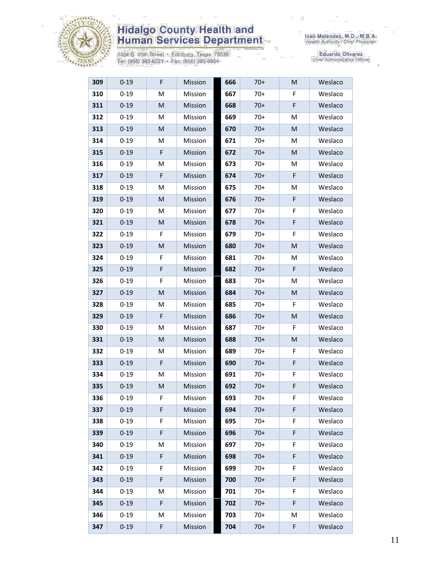

1304 S. 25th Street • Edinburg, Texas 78539<br>Tel: (956) 383-6221 • Fax: (956) 383-8864

| 309 | $0 - 19$ | F           | Mission | 666 | $70+$ | M | Weslaco |
|-----|----------|-------------|---------|-----|-------|---|---------|
| 310 | $0 - 19$ | M           | Mission | 667 | $70+$ | F | Weslaco |
| 311 | $0 - 19$ | M           | Mission | 668 | $70+$ | F | Weslaco |
| 312 | $0 - 19$ | M           | Mission | 669 | $70+$ | м | Weslaco |
| 313 | $0 - 19$ | M           | Mission | 670 | $70+$ | M | Weslaco |
| 314 | $0 - 19$ | M           | Mission | 671 | $70+$ | м | Weslaco |
| 315 | $0 - 19$ | F           | Mission | 672 | $70+$ | M | Weslaco |
| 316 | $0 - 19$ | M           | Mission | 673 | $70+$ | M | Weslaco |
| 317 | $0 - 19$ | $\mathsf F$ | Mission | 674 | $70+$ | F | Weslaco |
| 318 | $0 - 19$ | M           | Mission | 675 | $70+$ | M | Weslaco |
| 319 | $0 - 19$ | M           | Mission | 676 | $70+$ | F | Weslaco |
| 320 | $0 - 19$ | M           | Mission | 677 | $70+$ | F | Weslaco |
| 321 | $0 - 19$ | M           | Mission | 678 | $70+$ | F | Weslaco |
| 322 | $0 - 19$ | F           | Mission | 679 | $70+$ | F | Weslaco |
| 323 | $0 - 19$ | M           | Mission | 680 | $70+$ | M | Weslaco |
| 324 | $0 - 19$ | F           | Mission | 681 | $70+$ | M | Weslaco |
| 325 | $0 - 19$ | $\mathsf F$ | Mission | 682 | $70+$ | F | Weslaco |
| 326 | $0 - 19$ | F           | Mission | 683 | $70+$ | м | Weslaco |
| 327 | $0 - 19$ | M           | Mission | 684 | $70+$ | M | Weslaco |
| 328 | $0 - 19$ | M           | Mission | 685 | $70+$ | F | Weslaco |
| 329 | $0 - 19$ | F           | Mission | 686 | $70+$ | M | Weslaco |
| 330 | $0 - 19$ | M           | Mission | 687 | $70+$ | F | Weslaco |
| 331 | $0 - 19$ | M           | Mission | 688 | $70+$ | M | Weslaco |
| 332 | $0 - 19$ | M           | Mission | 689 | $70+$ | F | Weslaco |
| 333 | $0 - 19$ | F           | Mission | 690 | $70+$ | F | Weslaco |
| 334 | $0 - 19$ | M           | Mission | 691 | $70+$ | F | Weslaco |
| 335 | $0 - 19$ | M           | Mission | 692 | $70+$ | F | Weslaco |
| 336 | $0 - 19$ | F           | Mission | 693 | $70+$ | F | Weslaco |
| 337 | $0 - 19$ | F           | Mission | 694 | $70+$ | F | Weslaco |
| 338 | $0 - 19$ | F           | Mission | 695 | $70+$ | F | Weslaco |
| 339 | $0 - 19$ | $\mathsf F$ | Mission | 696 | $70+$ | F | Weslaco |
| 340 | $0 - 19$ | M           | Mission | 697 | $70+$ | F | Weslaco |
| 341 | $0 - 19$ | F           | Mission | 698 | $70+$ | F | Weslaco |
| 342 | $0 - 19$ | F           | Mission | 699 | $70+$ | F | Weslaco |
| 343 | $0 - 19$ | $\mathsf F$ | Mission | 700 | $70+$ | F | Weslaco |
| 344 | $0 - 19$ | M           | Mission | 701 | $70+$ | F | Weslaco |
| 345 | $0 - 19$ | F           | Mission | 702 | $70+$ | F | Weslaco |
| 346 | $0 - 19$ | M           | Mission | 703 | $70+$ | M | Weslaco |
| 347 | $0 - 19$ | F           | Mission | 704 | $70+$ | F | Weslaco |